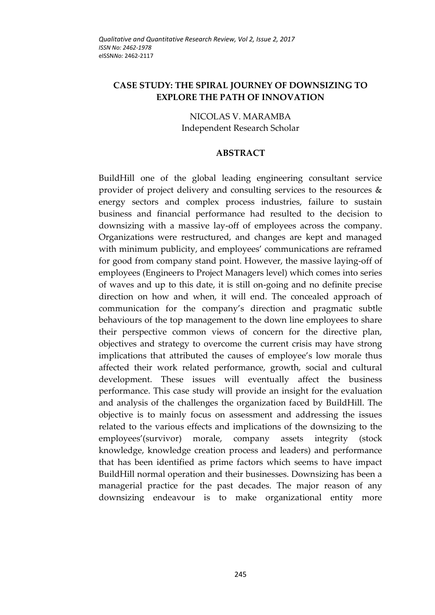# **CASE STUDY: THE SPIRAL JOURNEY OF DOWNSIZING TO EXPLORE THE PATH OF INNOVATION**

NICOLAS V. MARAMBA Independent Research Scholar

#### **ABSTRACT**

BuildHill one of the global leading engineering consultant service provider of project delivery and consulting services to the resources & energy sectors and complex process industries, failure to sustain business and financial performance had resulted to the decision to downsizing with a massive lay-off of employees across the company. Organizations were restructured, and changes are kept and managed with minimum publicity, and employees' communications are reframed for good from company stand point. However, the massive laying-off of employees (Engineers to Project Managers level) which comes into series of waves and up to this date, it is still on-going and no definite precise direction on how and when, it will end. The concealed approach of communication for the company's direction and pragmatic subtle behaviours of the top management to the down line employees to share their perspective common views of concern for the directive plan, objectives and strategy to overcome the current crisis may have strong implications that attributed the causes of employee's low morale thus affected their work related performance, growth, social and cultural development. These issues will eventually affect the business performance. This case study will provide an insight for the evaluation and analysis of the challenges the organization faced by BuildHill. The objective is to mainly focus on assessment and addressing the issues related to the various effects and implications of the downsizing to the employees'(survivor) morale, company assets integrity (stock knowledge, knowledge creation process and leaders) and performance that has been identified as prime factors which seems to have impact BuildHill normal operation and their businesses. Downsizing has been a managerial practice for the past decades. The major reason of any downsizing endeavour is to make organizational entity more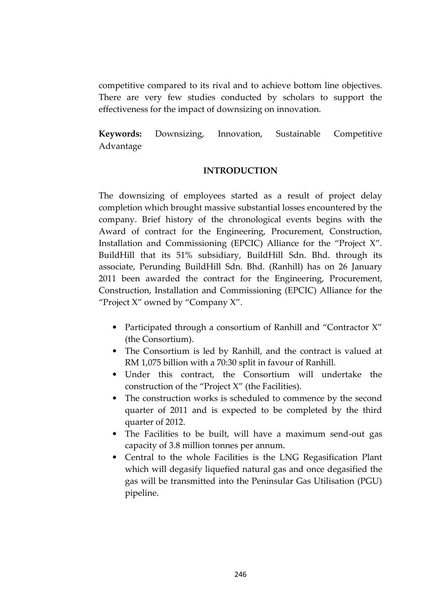competitive compared to its rival and to achieve bottom line objectives. There are very few studies conducted by scholars to support the effectiveness for the impact of downsizing on innovation.

**Keywords:** Downsizing, Innovation, Sustainable Competitive Advantage

## **INTRODUCTION**

The downsizing of employees started as a result of project delay completion which brought massive substantial losses encountered by the company. Brief history of the chronological events begins with the Award of contract for the Engineering, Procurement, Construction, Installation and Commissioning (EPCIC) Alliance for the "Project X". BuildHill that its 51% subsidiary, BuildHill Sdn. Bhd. through its associate, Perunding BuildHill Sdn. Bhd. (Ranhill) has on 26 January 2011 been awarded the contract for the Engineering, Procurement, Construction, Installation and Commissioning (EPCIC) Alliance for the "Project X" owned by "Company X".

- Participated through a consortium of Ranhill and "Contractor X" (the Consortium).
- The Consortium is led by Ranhill, and the contract is valued at RM 1,075 billion with a 70:30 split in favour of Ranhill.
- Under this contract, the Consortium will undertake the construction of the "Project X" (the Facilities).
- The construction works is scheduled to commence by the second quarter of 2011 and is expected to be completed by the third quarter of 2012.
- The Facilities to be built, will have a maximum send-out gas capacity of 3.8 million tonnes per annum.
- Central to the whole Facilities is the LNG Regasification Plant which will degasify liquefied natural gas and once degasified the gas will be transmitted into the Peninsular Gas Utilisation (PGU) pipeline.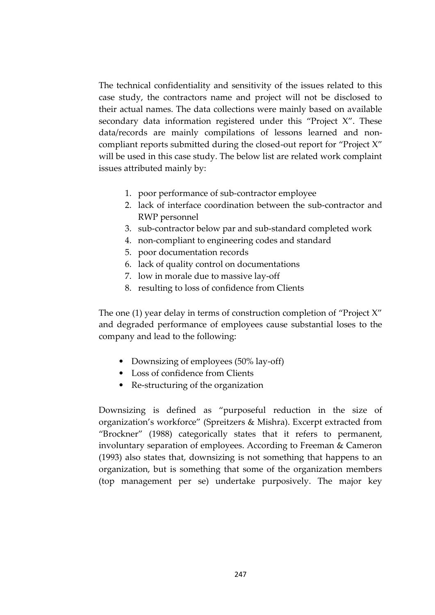The technical confidentiality and sensitivity of the issues related to this case study, the contractors name and project will not be disclosed to their actual names. The data collections were mainly based on available secondary data information registered under this "Project X". These data/records are mainly compilations of lessons learned and noncompliant reports submitted during the closed-out report for "Project X" will be used in this case study. The below list are related work complaint issues attributed mainly by:

- 1. poor performance of sub-contractor employee
- 2. lack of interface coordination between the sub-contractor and RWP personnel
- 3. sub-contractor below par and sub-standard completed work
- 4. non-compliant to engineering codes and standard
- 5. poor documentation records
- 6. lack of quality control on documentations
- 7. low in morale due to massive lay-off
- 8. resulting to loss of confidence from Clients

The one (1) year delay in terms of construction completion of "Project X" and degraded performance of employees cause substantial loses to the company and lead to the following:

- Downsizing of employees (50% lay-off)
- Loss of confidence from Clients
- Re-structuring of the organization

Downsizing is defined as "purposeful reduction in the size of organization's workforce" (Spreitzers & Mishra). Excerpt extracted from "Brockner" (1988) categorically states that it refers to permanent, involuntary separation of employees. According to Freeman & Cameron (1993) also states that, downsizing is not something that happens to an organization, but is something that some of the organization members (top management per se) undertake purposively. The major key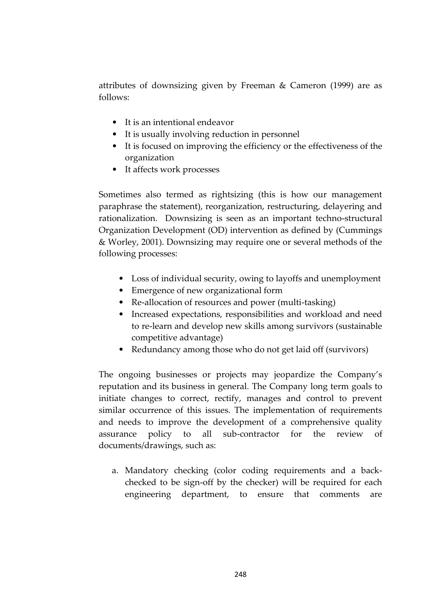attributes of downsizing given by Freeman & Cameron (1999) are as follows:

- It is an intentional endeavor
- It is usually involving reduction in personnel
- It is focused on improving the efficiency or the effectiveness of the organization
- It affects work processes

Sometimes also termed as rightsizing (this is how our management paraphrase the statement), reorganization, restructuring, delayering and rationalization. Downsizing is seen as an important techno-structural Organization Development (OD) intervention as defined by (Cummings & Worley, 2001). Downsizing may require one or several methods of the following processes:

- Loss of individual security, owing to layoffs and unemployment
- Emergence of new organizational form
- Re-allocation of resources and power (multi-tasking)
- Increased expectations, responsibilities and workload and need to re-learn and develop new skills among survivors (sustainable competitive advantage)
- Redundancy among those who do not get laid off (survivors)

The ongoing businesses or projects may jeopardize the Company's reputation and its business in general. The Company long term goals to initiate changes to correct, rectify, manages and control to prevent similar occurrence of this issues. The implementation of requirements and needs to improve the development of a comprehensive quality assurance policy to all sub-contractor for the review of documents/drawings, such as:

a. Mandatory checking (color coding requirements and a backchecked to be sign-off by the checker) will be required for each engineering department, to ensure that comments are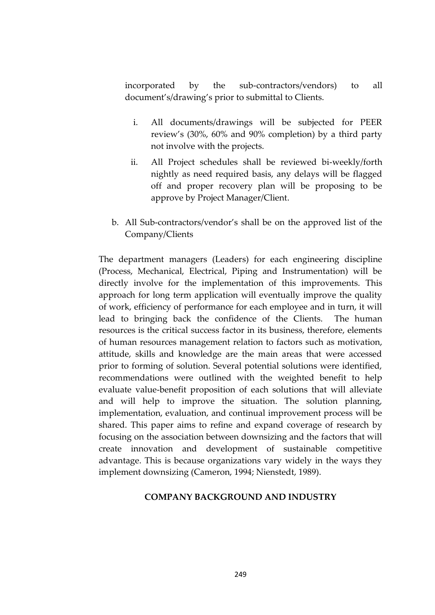incorporated by the sub-contractors/vendors) to all document's/drawing's prior to submittal to Clients.

- i. All documents/drawings will be subjected for PEER review's (30%, 60% and 90% completion) by a third party not involve with the projects.
- ii. All Project schedules shall be reviewed bi-weekly/forth nightly as need required basis, any delays will be flagged off and proper recovery plan will be proposing to be approve by Project Manager/Client.
- b. All Sub-contractors/vendor's shall be on the approved list of the Company/Clients

The department managers (Leaders) for each engineering discipline (Process, Mechanical, Electrical, Piping and Instrumentation) will be directly involve for the implementation of this improvements. This approach for long term application will eventually improve the quality of work, efficiency of performance for each employee and in turn, it will lead to bringing back the confidence of the Clients. The human resources is the critical success factor in its business, therefore, elements of human resources management relation to factors such as motivation, attitude, skills and knowledge are the main areas that were accessed prior to forming of solution. Several potential solutions were identified, recommendations were outlined with the weighted benefit to help evaluate value-benefit proposition of each solutions that will alleviate and will help to improve the situation. The solution planning, implementation, evaluation, and continual improvement process will be shared. This paper aims to refine and expand coverage of research by focusing on the association between downsizing and the factors that will create innovation and development of sustainable competitive advantage. This is because organizations vary widely in the ways they implement downsizing (Cameron, 1994; Nienstedt, 1989).

#### **COMPANY BACKGROUND AND INDUSTRY**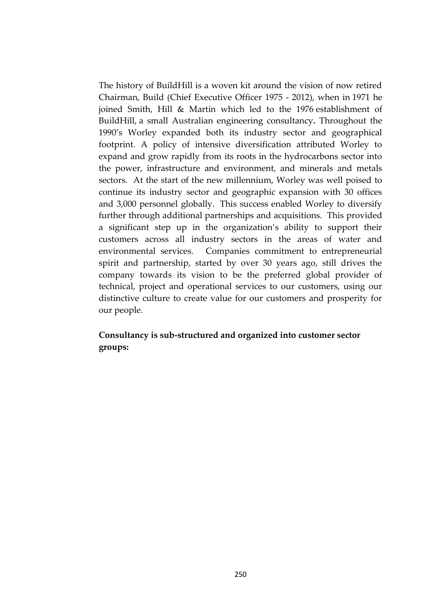The history of BuildHill is a woven kit around the vision of now retired Chairman, Build (Chief Executive Officer 1975 - 2012), when in 1971 he joined Smith, Hill & Martin which led to the 1976 establishment of BuildHill, a small Australian engineering consultancy**.** Throughout the 1990's Worley expanded both its industry sector and geographical footprint. A policy of intensive diversification attributed Worley to expand and grow rapidly from its roots in the hydrocarbons sector into the power, infrastructure and environment, and minerals and metals sectors. At the start of the new millennium, Worley was well poised to continue its industry sector and geographic expansion with 30 offices and 3,000 personnel globally. This success enabled Worley to diversify further through additional partnerships and acquisitions. This provided a significant step up in the organization's ability to support their customers across all industry sectors in the areas of water and environmental services. Companies commitment to entrepreneurial spirit and partnership, started by over 30 years ago, still drives the company towards its vision to be the preferred global provider of technical, project and operational services to our customers, using our distinctive culture to create value for our customers and prosperity for our people.

# **Consultancy is sub-structured and organized into customer sector groups:**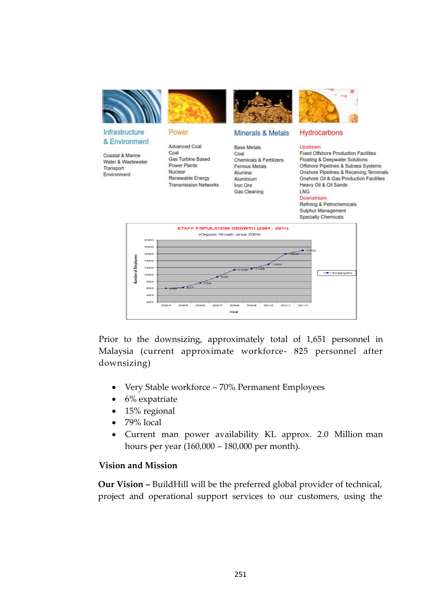

Prior to the downsizing, approximately total of 1,651 personnel in Malaysia (current approximate workforce- 825 personnel after downsizing)

- Very Stable workforce 70% Permanent Employees
- $\bullet$  6% expatriate
- $\bullet$  15% regional
- $\bullet$  79% local
- Current man power availability KL approx. 2.0 Million man hours per year (160,000 – 180,000 per month).

## **Vision and Mission**

**Our Vision –** BuildHill will be the preferred global provider of technical, project and operational support services to our customers, using the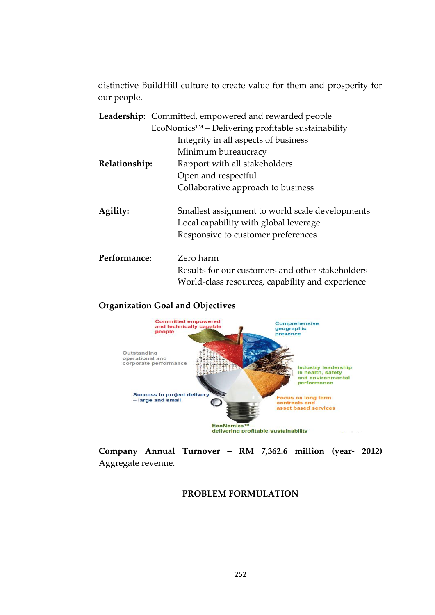distinctive BuildHill culture to create value for them and prosperity for our people.

|               | <b>Leadership:</b> Committed, empowered and rewarded people       |
|---------------|-------------------------------------------------------------------|
|               | $E$ coNomics <sup>TM</sup> – Delivering profitable sustainability |
|               | Integrity in all aspects of business                              |
|               | Minimum bureaucracy                                               |
| Relationship: | Rapport with all stakeholders                                     |
|               | Open and respectful                                               |
|               | Collaborative approach to business                                |
| Agility:      | Smallest assignment to world scale developments                   |
|               | Local capability with global leverage                             |
|               | Responsive to customer preferences                                |
| Performance:  | Zero harm                                                         |
|               | Results for our customers and other stakeholders                  |
|               | World-class resources, capability and experience                  |

## **Organization Goal and Objectives**



**Company Annual Turnover – RM 7,362.6 million (year- 2012)**  Aggregate revenue.

## **PROBLEM FORMULATION**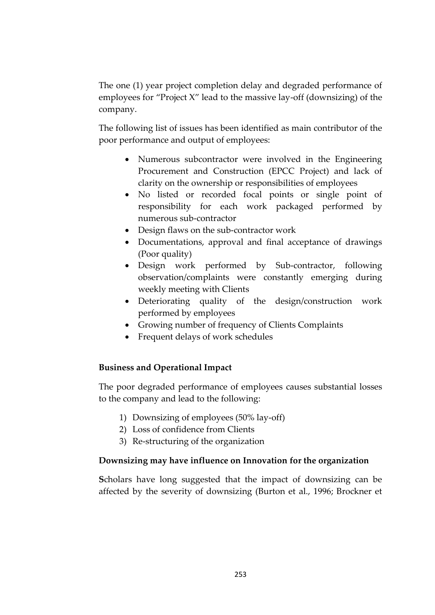The one (1) year project completion delay and degraded performance of employees for "Project X" lead to the massive lay-off (downsizing) of the company.

The following list of issues has been identified as main contributor of the poor performance and output of employees:

- Numerous subcontractor were involved in the Engineering Procurement and Construction (EPCC Project) and lack of clarity on the ownership or responsibilities of employees
- No listed or recorded focal points or single point of responsibility for each work packaged performed by numerous sub-contractor
- Design flaws on the sub-contractor work
- Documentations, approval and final acceptance of drawings (Poor quality)
- Design work performed by Sub-contractor, following observation/complaints were constantly emerging during weekly meeting with Clients
- Deteriorating quality of the design/construction work performed by employees
- Growing number of frequency of Clients Complaints
- Frequent delays of work schedules

# **Business and Operational Impact**

The poor degraded performance of employees causes substantial losses to the company and lead to the following:

- 1) Downsizing of employees (50% lay-off)
- 2) Loss of confidence from Clients
- 3) Re-structuring of the organization

# **Downsizing may have influence on Innovation for the organization**

**S**cholars have long suggested that the impact of downsizing can be affected by the severity of downsizing (Burton et al., 1996; Brockner et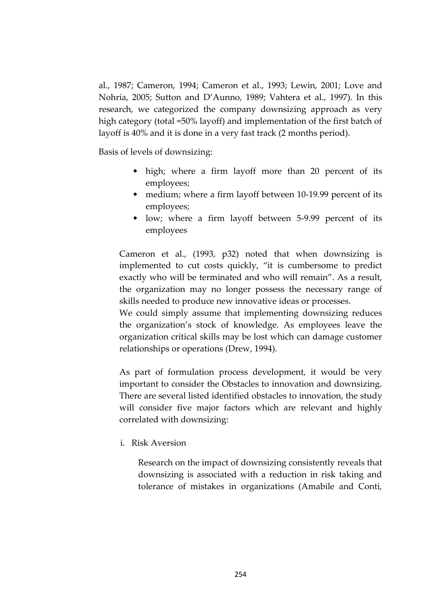al., 1987; Cameron, 1994; Cameron et al., 1993; Lewin, 2001; Love and Nohria, 2005; Sutton and D'Aunno, 1989; Vahtera et al., 1997). In this research, we categorized the company downsizing approach as very high category (total =50% layoff) and implementation of the first batch of layoff is 40% and it is done in a very fast track (2 months period).

Basis of levels of downsizing:

- high; where a firm layoff more than 20 percent of its employees;
- medium; where a firm layoff between 10-19.99 percent of its employees;
- low; where a firm layoff between 5-9.99 percent of its employees

Cameron et al., (1993, p32) noted that when downsizing is implemented to cut costs quickly, "it is cumbersome to predict exactly who will be terminated and who will remain". As a result, the organization may no longer possess the necessary range of skills needed to produce new innovative ideas or processes.

We could simply assume that implementing downsizing reduces the organization's stock of knowledge. As employees leave the organization critical skills may be lost which can damage customer relationships or operations (Drew, 1994).

As part of formulation process development, it would be very important to consider the Obstacles to innovation and downsizing. There are several listed identified obstacles to innovation, the study will consider five major factors which are relevant and highly correlated with downsizing:

i. Risk Aversion

Research on the impact of downsizing consistently reveals that downsizing is associated with a reduction in risk taking and tolerance of mistakes in organizations (Amabile and Conti,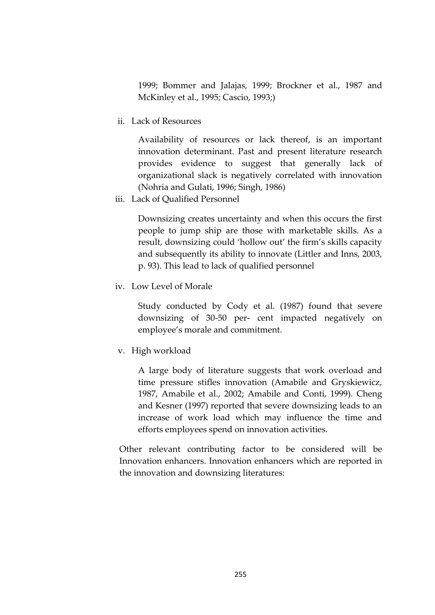1999; Bommer and Jalajas, 1999; Brockner et al., 1987 and McKinley et al., 1995; Cascio, 1993;)

ii. Lack of Resources

Availability of resources or lack thereof, is an important innovation determinant. Past and present literature research provides evidence to suggest that generally lack of organizational slack is negatively correlated with innovation (Nohria and Gulati, 1996; Singh, 1986)

iii. Lack of Qualified Personnel

Downsizing creates uncertainty and when this occurs the first people to jump ship are those with marketable skills. As a result, downsizing could 'hollow out' the firm's skills capacity and subsequently its ability to innovate (Littler and Inns, 2003, p. 93). This lead to lack of qualified personnel

iv. Low Level of Morale

Study conducted by Cody et al. (1987) found that severe downsizing of 30-50 per- cent impacted negatively on employee's morale and commitment.

v. High workload

A large body of literature suggests that work overload and time pressure stifles innovation (Amabile and Gryskiewicz, 1987, Amabile et al., 2002; Amabile and Conti, 1999). Cheng and Kesner (1997) reported that severe downsizing leads to an increase of work load which may influence the time and efforts employees spend on innovation activities.

Other relevant contributing factor to be considered will be Innovation enhancers. Innovation enhancers which are reported in the innovation and downsizing literatures: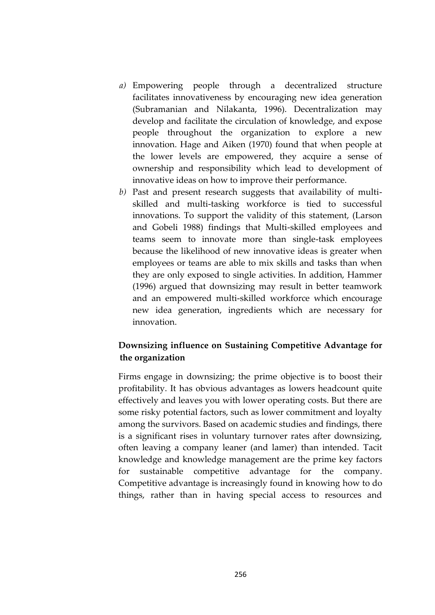- *a)* Empowering people through a decentralized structure facilitates innovativeness by encouraging new idea generation (Subramanian and Nilakanta, 1996). Decentralization may develop and facilitate the circulation of knowledge, and expose people throughout the organization to explore a new innovation. Hage and Aiken (1970) found that when people at the lower levels are empowered, they acquire a sense of ownership and responsibility which lead to development of innovative ideas on how to improve their performance.
- *b)* Past and present research suggests that availability of multiskilled and multi-tasking workforce is tied to successful innovations. To support the validity of this statement, (Larson and Gobeli 1988) findings that Multi-skilled employees and teams seem to innovate more than single-task employees because the likelihood of new innovative ideas is greater when employees or teams are able to mix skills and tasks than when they are only exposed to single activities. In addition, Hammer (1996) argued that downsizing may result in better teamwork and an empowered multi-skilled workforce which encourage new idea generation, ingredients which are necessary for innovation.

# **Downsizing influence on Sustaining Competitive Advantage for the organization**

Firms engage in downsizing; the prime objective is to boost their profitability. It has obvious advantages as lowers headcount quite effectively and leaves you with lower operating costs. But there are some risky potential factors, such as lower commitment and loyalty among the survivors. Based on academic studies and findings, there is a significant rises in voluntary turnover rates after downsizing, often leaving a company leaner (and lamer) than intended. Tacit knowledge and knowledge management are the prime key factors for sustainable competitive advantage for the company. Competitive advantage is increasingly found in knowing how to do things, rather than in having special access to resources and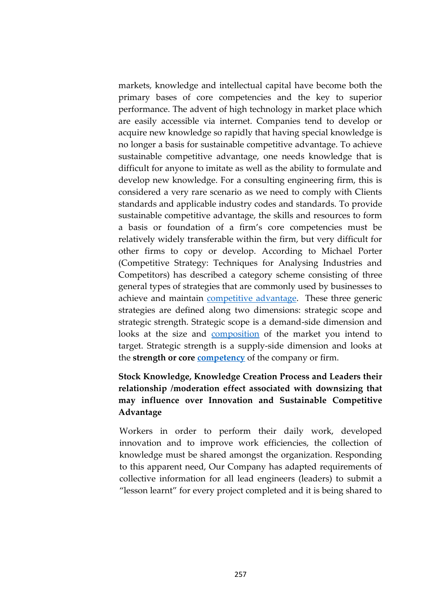markets, knowledge and intellectual capital have become both the primary bases of core competencies and the key to superior performance. The advent of high technology in market place which are easily accessible via internet. Companies tend to develop or acquire new knowledge so rapidly that having special knowledge is no longer a basis for sustainable competitive advantage. To achieve sustainable competitive advantage, one needs knowledge that is difficult for anyone to imitate as well as the ability to formulate and develop new knowledge. For a consulting engineering firm, this is considered a very rare scenario as we need to comply with Clients standards and applicable industry codes and standards. To provide sustainable competitive advantage, the skills and resources to form a basis or foundation of a firm's core competencies must be relatively widely transferable within the firm, but very difficult for other firms to copy or develop. According to Michael Porter (Competitive Strategy: Techniques for Analysing Industries and Competitors) has described a category scheme consisting of three general types of strategies that are commonly used by businesses to achieve and maintain **competitive advantage**. These three generic strategies are defined along two dimensions: strategic scope and strategic strength. Strategic scope is a demand-side dimension and looks at the size and [composition](https://www.boundless.com/management/definition/composition/) of the market you intend to target. Strategic strength is a supply-side dimension and looks at the **strength or core [competency](https://www.boundless.com/management/definition/competency/)** of the company or firm.

# **Stock Knowledge, Knowledge Creation Process and Leaders their relationship /moderation effect associated with downsizing that may influence over Innovation and Sustainable Competitive Advantage**

Workers in order to perform their daily work, developed innovation and to improve work efficiencies, the collection of knowledge must be shared amongst the organization. Responding to this apparent need, Our Company has adapted requirements of collective information for all lead engineers (leaders) to submit a "lesson learnt" for every project completed and it is being shared to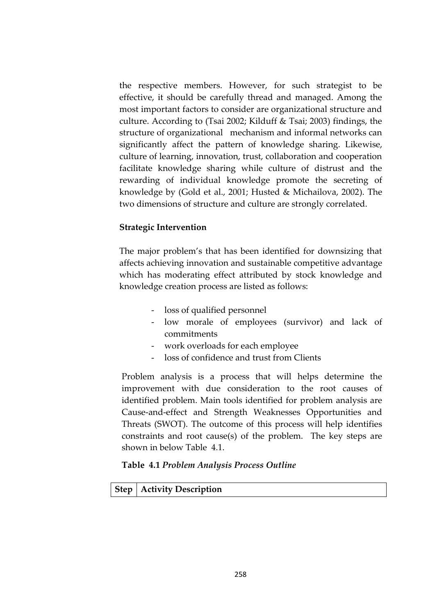the respective members. However, for such strategist to be effective, it should be carefully thread and managed. Among the most important factors to consider are organizational structure and culture. According to (Tsai 2002; Kilduff & Tsai; 2003) findings, the structure of organizational mechanism and informal networks can significantly affect the pattern of knowledge sharing. Likewise, culture of learning, innovation, trust, collaboration and cooperation facilitate knowledge sharing while culture of distrust and the rewarding of individual knowledge promote the secreting of knowledge by (Gold et al., 2001; Husted & Michailova, 2002). The two dimensions of structure and culture are strongly correlated.

## **Strategic Intervention**

The major problem's that has been identified for downsizing that affects achieving innovation and sustainable competitive advantage which has moderating effect attributed by stock knowledge and knowledge creation process are listed as follows:

- loss of qualified personnel
- low morale of employees (survivor) and lack of commitments
- work overloads for each employee
- loss of confidence and trust from Clients

Problem analysis is a process that will helps determine the improvement with due consideration to the root causes of identified problem. Main tools identified for problem analysis are Cause-and-effect and Strength Weaknesses Opportunities and Threats (SWOT). The outcome of this process will help identifies constraints and root cause(s) of the problem. The key steps are shown in below Table 4.1.

#### **Table 4.1** *Problem Analysis Process Outline*

## **Step Activity Description**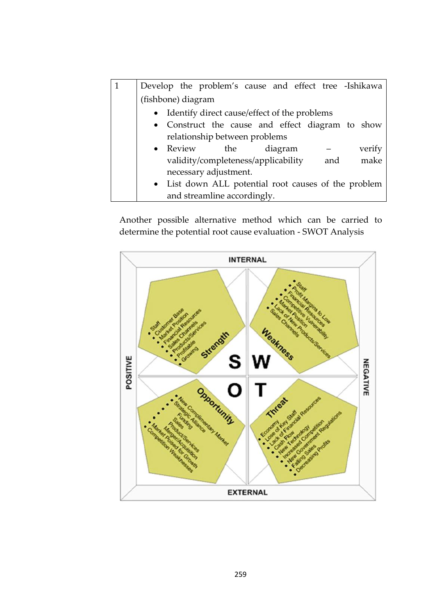| Develop the problem's cause and effect tree -Ishikawa |
|-------------------------------------------------------|
| (fishbone) diagram                                    |
| • Identify direct cause/effect of the problems        |
| • Construct the cause and effect diagram to show      |
| relationship between problems                         |
| $\bullet$ Review<br>diagram<br>verify<br>the          |
| make<br>validity/completeness/applicability<br>and    |
| necessary adjustment.                                 |
| • List down ALL potential root causes of the problem  |
| and streamline accordingly.                           |

Another possible alternative method which can be carried to determine the potential root cause evaluation - SWOT Analysis

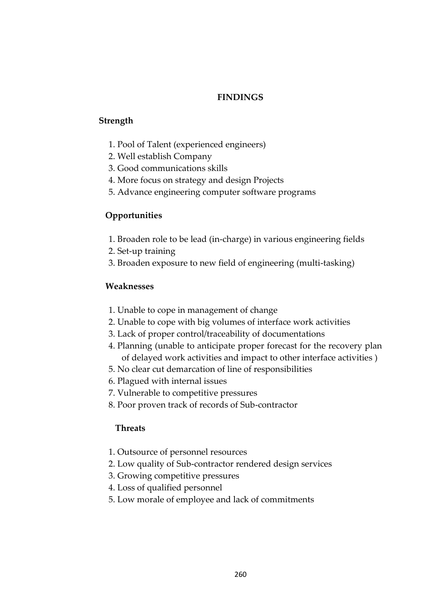## **FINDINGS**

#### **Strength**

- 1. Pool of Talent (experienced engineers)
- 2. Well establish Company
- 3. Good communications skills
- 4. More focus on strategy and design Projects
- 5. Advance engineering computer software programs

# **Opportunities**

- 1. Broaden role to be lead (in-charge) in various engineering fields
- 2. Set-up training
- 3. Broaden exposure to new field of engineering (multi-tasking)

## **Weaknesses**

- 1. Unable to cope in management of change
- 2. Unable to cope with big volumes of interface work activities
- 3. Lack of proper control/traceability of documentations
- 4. Planning (unable to anticipate proper forecast for the recovery plan of delayed work activities and impact to other interface activities )
- 5. No clear cut demarcation of line of responsibilities
- 6. Plagued with internal issues
- 7. Vulnerable to competitive pressures
- 8. Poor proven track of records of Sub-contractor

## **Threats**

- 1. Outsource of personnel resources
- 2. Low quality of Sub-contractor rendered design services
- 3. Growing competitive pressures
- 4. Loss of qualified personnel
- 5. Low morale of employee and lack of commitments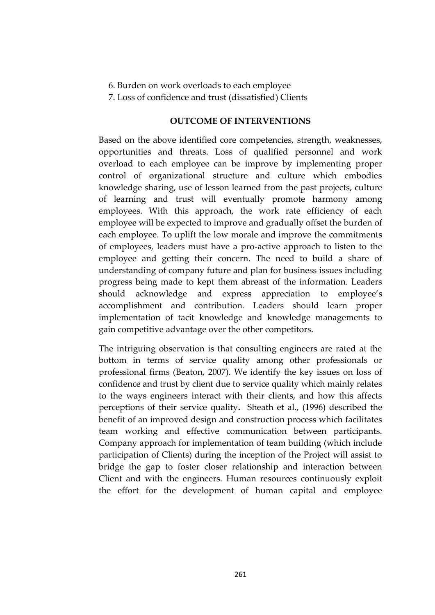- 6. Burden on work overloads to each employee
- 7. Loss of confidence and trust (dissatisfied) Clients

#### **OUTCOME OF INTERVENTIONS**

Based on the above identified core competencies, strength, weaknesses, opportunities and threats. Loss of qualified personnel and work overload to each employee can be improve by implementing proper control of organizational structure and culture which embodies knowledge sharing, use of lesson learned from the past projects, culture of learning and trust will eventually promote harmony among employees. With this approach, the work rate efficiency of each employee will be expected to improve and gradually offset the burden of each employee. To uplift the low morale and improve the commitments of employees, leaders must have a pro-active approach to listen to the employee and getting their concern. The need to build a share of understanding of company future and plan for business issues including progress being made to kept them abreast of the information. Leaders should acknowledge and express appreciation to employee's accomplishment and contribution. Leaders should learn proper implementation of tacit knowledge and knowledge managements to gain competitive advantage over the other competitors.

The intriguing observation is that consulting engineers are rated at the bottom in terms of service quality among other professionals or professional firms (Beaton, 2007). We identify the key issues on loss of confidence and trust by client due to service quality which mainly relates to the ways engineers interact with their clients, and how this affects perceptions of their service quality**.** Sheath et al., (1996) described the benefit of an improved design and construction process which facilitates team working and effective communication between participants. Company approach for implementation of team building (which include participation of Clients) during the inception of the Project will assist to bridge the gap to foster closer relationship and interaction between Client and with the engineers. Human resources continuously exploit the effort for the development of human capital and employee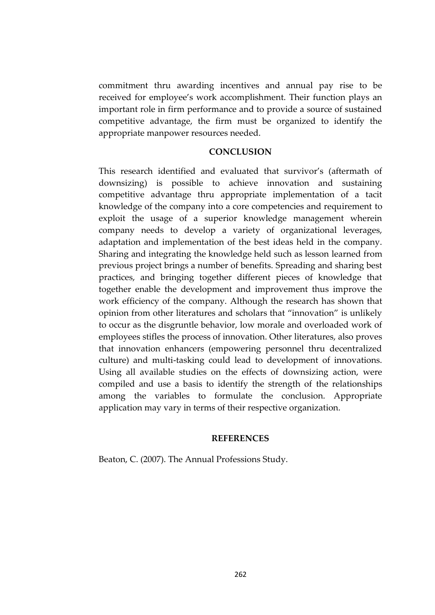commitment thru awarding incentives and annual pay rise to be received for employee's work accomplishment. Their function plays an important role in firm performance and to provide a source of sustained competitive advantage, the firm must be organized to identify the appropriate manpower resources needed.

#### **CONCLUSION**

This research identified and evaluated that survivor's (aftermath of downsizing) is possible to achieve innovation and sustaining competitive advantage thru appropriate implementation of a tacit knowledge of the company into a core competencies and requirement to exploit the usage of a superior knowledge management wherein company needs to develop a variety of organizational leverages, adaptation and implementation of the best ideas held in the company. Sharing and integrating the knowledge held such as lesson learned from previous project brings a number of benefits. Spreading and sharing best practices, and bringing together different pieces of knowledge that together enable the development and improvement thus improve the work efficiency of the company. Although the research has shown that opinion from other literatures and scholars that "innovation" is unlikely to occur as the disgruntle behavior, low morale and overloaded work of employees stifles the process of innovation. Other literatures, also proves that innovation enhancers (empowering personnel thru decentralized culture) and multi-tasking could lead to development of innovations. Using all available studies on the effects of downsizing action, were compiled and use a basis to identify the strength of the relationships among the variables to formulate the conclusion. Appropriate application may vary in terms of their respective organization.

#### **REFERENCES**

Beaton, C. (2007). The Annual Professions Study.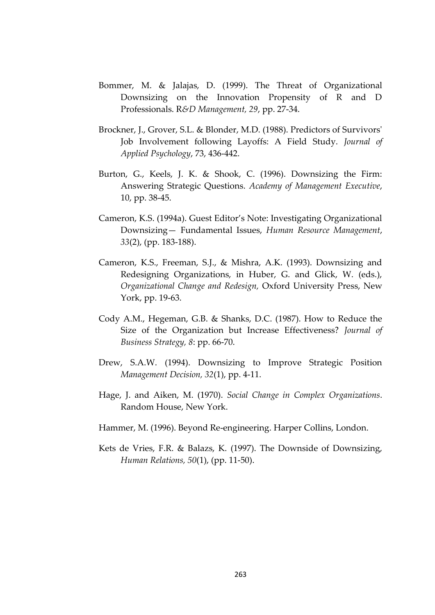- Bommer, M. & Jalajas, D. (1999). The Threat of Organizational Downsizing on the Innovation Propensity of R and D Professionals. R*&D Management, 29*, pp. 27-34.
- Brockner, J., Grover, S.L. & Blonder, M.D. (1988). Predictors of Survivors' Job Involvement following Layoffs: A Field Study. *Journal of Applied Psychology*, 73, 436-442.
- Burton, G., Keels, J. K. & Shook, C. (1996). Downsizing the Firm: Answering Strategic Questions. *Academy of Management Executive*, 10, pp. 38-45.
- Cameron, K.S. (1994a). Guest Editor's Note: Investigating Organizational Downsizing— Fundamental Issues, *Human Resource Management*, *33*(2), (pp. 183-188).
- Cameron, K.S., Freeman, S.J., & Mishra, A.K. (1993). Downsizing and Redesigning Organizations, in Huber, G. and Glick, W. (eds.), *Organizational Change and Redesign,* Oxford University Press, New York, pp. 19-63.
- Cody A.M., Hegeman, G.B. & Shanks, D.C. (1987). How to Reduce the Size of the Organization but Increase Effectiveness? *Journal of Business Strategy, 8*: pp. 66-70.
- Drew, S.A.W. (1994). Downsizing to Improve Strategic Position *Management Decision, 32*(1), pp. 4-11.
- Hage, J. and Aiken, M. (1970). *Social Change in Complex Organizations*. Random House, New York.
- Hammer, M. (1996). Beyond Re-engineering. Harper Collins, London.
- Kets de Vries, F.R. & Balazs, K. (1997). The Downside of Downsizing, *Human Relations, 50*(1), (pp. 11-50).